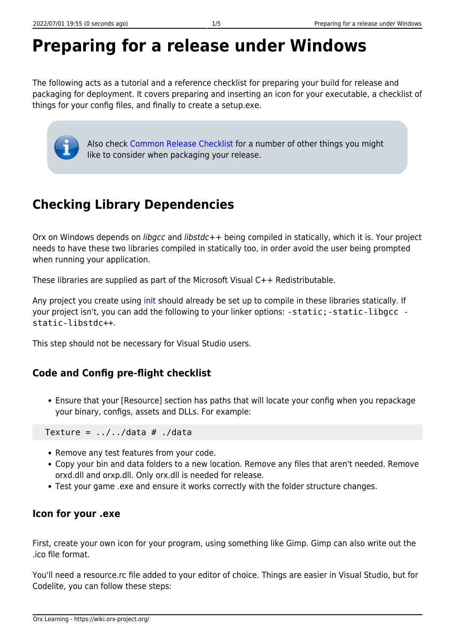# **Preparing for a release under Windows**

The following acts as a tutorial and a reference checklist for preparing your build for release and packaging for deployment. It covers preparing and inserting an icon for your executable, a checklist of things for your config files, and finally to create a setup.exe.

Also check [Common Release Checklist](https://wiki.orx-project.org/en/tutorials/publishing/common_release_checklist) for a number of other things you might like to consider when packaging your release.

# **Checking Library Dependencies**

Orx on Windows depends on libgcc and libstdc++ being compiled in statically, which it is. Your project needs to have these two libraries compiled in statically too, in order avoid the user being prompted when running your application.

These libraries are supplied as part of the Microsoft Visual C++ Redistributable.

Any project you create using [init](https://wiki.orx-project.org/en/tutorials/projects/using-premake-for-your-own-project) should already be set up to compile in these libraries statically. If your project isn't, you can add the following to your linker options: -static; -static-libgcc static-libstdc++.

This step should not be necessary for Visual Studio users.

## **Code and Config pre-flight checklist**

Ensure that your [Resource] section has paths that will locate your config when you repackage your binary, configs, assets and DLLs. For example:

Texture =  $.7.7$ ../data # ./data

- Remove any test features from your code.
- Copy your bin and data folders to a new location. Remove any files that aren't needed. Remove orxd.dll and orxp.dll. Only orx.dll is needed for release.
- Test your game .exe and ensure it works correctly with the folder structure changes.

#### **Icon for your .exe**

First, create your own icon for your program, using something like Gimp. Gimp can also write out the .ico file format.

You'll need a resource.rc file added to your editor of choice. Things are easier in Visual Studio, but for Codelite, you can follow these steps: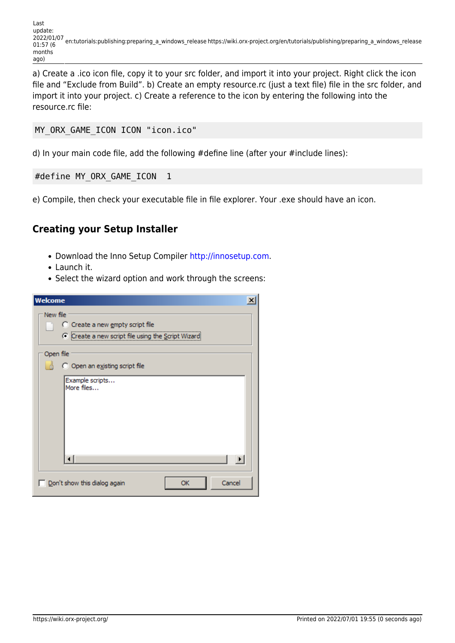a) Create a .ico icon file, copy it to your src folder, and import it into your project. Right click the icon file and "Exclude from Build". b) Create an empty resource.rc (just a text file) file in the src folder, and import it into your project. c) Create a reference to the icon by entering the following into the resource.rc file:

```
MY_ORX_GAME_ICON ICON "icon.ico"
```
d) In your main code file, add the following #define line (after your #include lines):

```
#define MY ORX GAME ICON 1
```
e) Compile, then check your executable file in file explorer. Your .exe should have an icon.

### **Creating your Setup Installer**

- Download the Inno Setup Compiler <http://innosetup.com>.
- Launch it.
- Select the wizard option and work through the screens:

| Welcome<br>$\vert x \vert$                          |
|-----------------------------------------------------|
| New file                                            |
| C Create a new empty script file                    |
| C Create a new script file using the Script Wizard  |
| Open file                                           |
| C Open an existing script file                      |
| Example scripts<br>More files                       |
| ∐∎                                                  |
| $\Box$ Don't show this dialog again<br>Cancel<br>OK |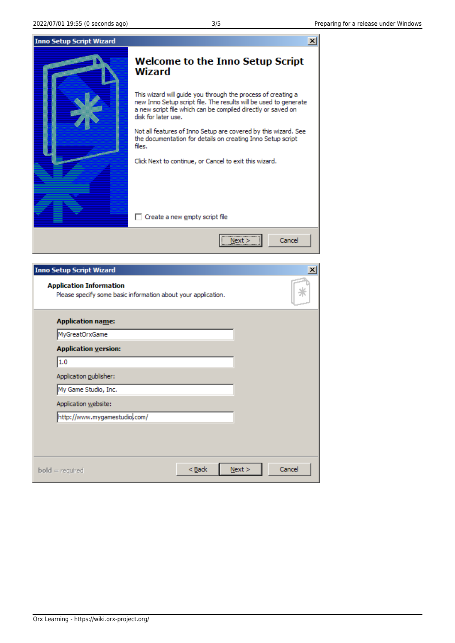

| <b>Application name:</b>      |  |  |
|-------------------------------|--|--|
| MyGreatOrxGame                |  |  |
| <b>Application version:</b>   |  |  |
| 1.0                           |  |  |
| Application publisher:        |  |  |
| My Game Studio, Inc.          |  |  |
| Application website:          |  |  |
| http://www.mygamestudiol.com/ |  |  |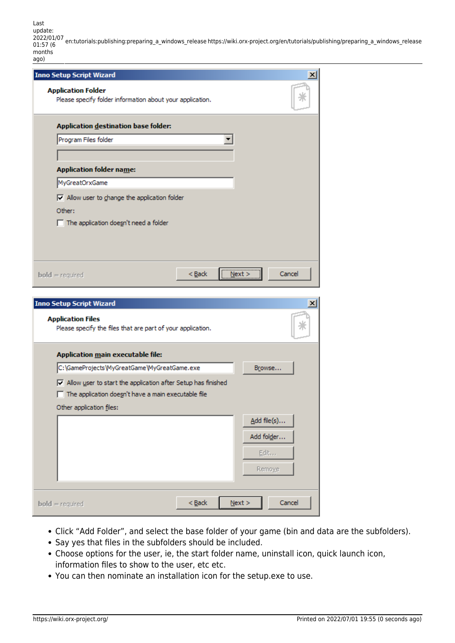Last update: 2022/01/07 01:57 (6 en:tutorials:publishing:preparing\_a\_windows\_release https://wiki.orx-project.org/en/tutorials/publishing/preparing\_a\_windows\_release months

| ago)                                                                                                                       |          |           |                 |
|----------------------------------------------------------------------------------------------------------------------------|----------|-----------|-----------------|
| <b>Inno Setup Script Wizard</b>                                                                                            |          |           | $\mathbf{x}$    |
| <b>Application Folder</b><br>Please specify folder information about your application.                                     |          |           |                 |
| Application destination base folder:                                                                                       |          |           |                 |
| Program Files folder                                                                                                       |          |           |                 |
| <b>Application folder name:</b>                                                                                            |          |           |                 |
| MyGreatOrxGame                                                                                                             |          |           |                 |
| $\boxed{\mathbf{v}}$ Allow user to change the application folder<br>Other:<br>$\Box$ The application doesn't need a folder |          |           |                 |
| $bold = required$                                                                                                          | $Back$   | <br>Next  | Cancel          |
| <b>Inno Setup Script Wizard</b>                                                                                            |          |           | $\vert x \vert$ |
| <b>Application Files</b><br>Please specify the files that are part of your application.                                    |          |           |                 |
| Application main executable file:                                                                                          |          |           |                 |
| C:\GameProjects\MyGreatGame\MyGreatGame.exe                                                                                |          |           | Browse          |
| $\overline{\mathbf{v}}$ Allow user to start the application after Setup has finished                                       |          |           |                 |
| $\Box$ The application doesn't have a main executable file                                                                 |          |           |                 |
| Other application files:                                                                                                   |          |           |                 |
|                                                                                                                            |          |           | Add file(s)     |
|                                                                                                                            |          |           | Add folder      |
|                                                                                                                            |          |           | Edit            |
|                                                                                                                            |          |           |                 |
|                                                                                                                            |          |           | Remoye          |
|                                                                                                                            |          |           |                 |
| $bold = required$                                                                                                          | $<$ Back | $N$ ext > | Cancel          |

- Click "Add Folder", and select the base folder of your game (bin and data are the subfolders).
- Say yes that files in the subfolders should be included.
- Choose options for the user, ie, the start folder name, uninstall icon, quick launch icon, information files to show to the user, etc etc.
- You can then nominate an installation icon for the setup.exe to use.